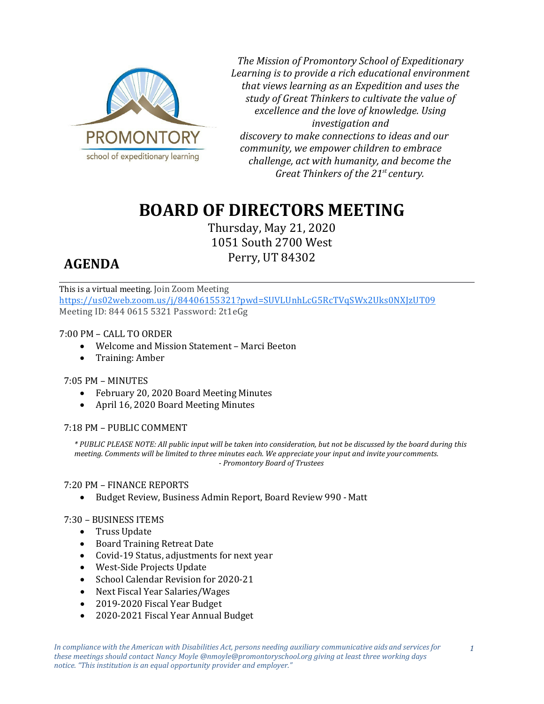

*The Mission of Promontory School of Expeditionary Learning is to provide a rich educational environment that views learning as an Expedition and uses the study of Great Thinkers to cultivate the value of excellence and the love of knowledge. Using investigation and discovery to make connections to ideas and our community, we empower children to embrace challenge, act with humanity, and become the Great Thinkers of the 21st century.*

# **BOARD OF DIRECTORS MEETING**

Thursday, May 21, 2020 1051 South 2700 West Perry, UT 84302

## **AGENDA**

This is a virtual meeting. Join Zoom Meeting <https://us02web.zoom.us/j/84406155321?pwd=SUVLUnhLcG5RcTVqSWx2Uks0NXJzUT09> Meeting ID: 844 0615 5321 Password: 2t1eGg

### 7:00 PM – CALL TO ORDER

- Welcome and Mission Statement Marci Beeton
- Training: Amber

#### 7:05 PM – MINUTES

- February 20, 2020 Board Meeting Minutes
- April 16, 2020 Board Meeting Minutes

#### 7:18 PM – PUBLIC COMMENT

*\* PUBLIC PLEASE NOTE: All public input will be taken into consideration, but not be discussed by the board during this meeting. Comments will be limited to three minutes each. We appreciate your input and invite yourcomments. - Promontory Board of Trustees*

#### 7:20 PM – FINANCE REPORTS

• Budget Review, Business Admin Report, Board Review 990 - Matt

#### 7:30 – BUSINESS ITEMS

- Truss Update
- Board Training Retreat Date
- Covid-19 Status, adjustments for next year
- West-Side Projects Update
- School Calendar Revision for 2020-21
- Next Fiscal Year Salaries/Wages
- 2019-2020 Fiscal Year Budget
- 2020-2021 Fiscal Year Annual Budget